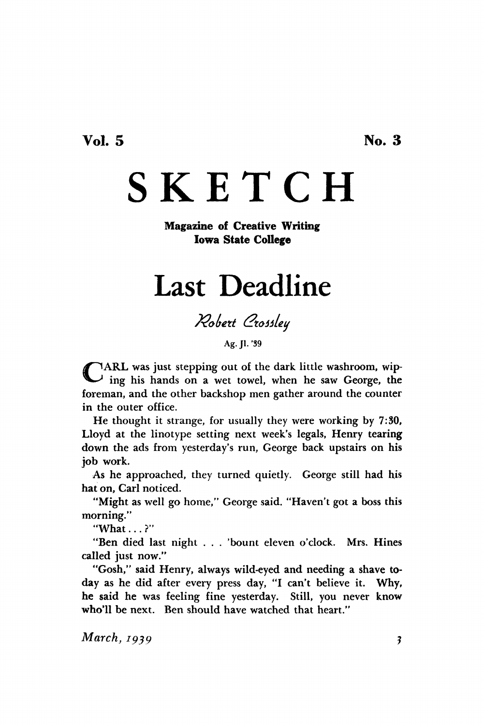**Vol. 5 No. 3** 

## **SKETCH**

## **Magazine of Creative Writing Iowa State College**

## Last Deadline

*?2obett (ztottletj* 

**Ag.Jl.'39** 

CARL was just stepping out of the dark little washroom, wip-<br>ing his hands on a wet towel, when he saw George, the ing his hands on a wet towel, when he saw George, the foreman, and the other backshop men gather around the counter in the outer office.

He thought it strange, for usually they were working by 7:30, Lloyd at the linotype setting next week's legals, Henry tearing down the ads from yesterday's run, George back upstairs on his job work.

As he approached, they turned quietly. George still had his hat on, Carl noticed.

"Might as well go home," George said. "Haven't got a boss this morning."

"What...?"

"Ben died last night . . . 'bount eleven o'clock. Mrs. Hines called just now."

"Gosh," said Henry, always wild-eyed and needing a shave today as he did after every press day, "I can't believe it. Why, he said he was feeling fine yesterday. Still, you never know who'll be next. Ben should have watched that heart."

*March, 1939* **?**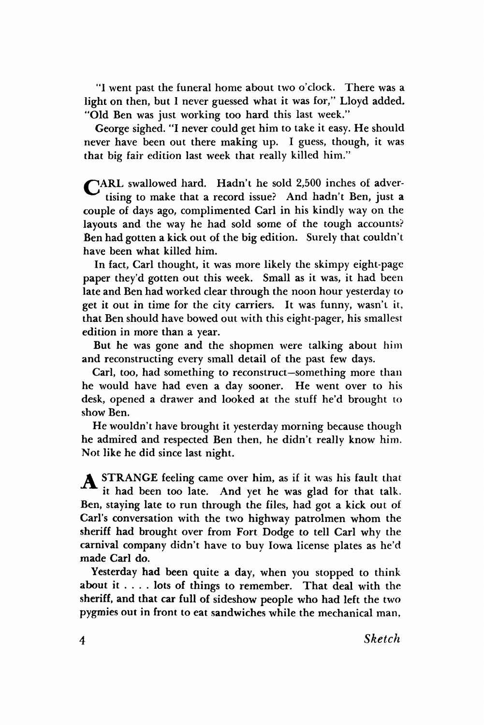**"1 went past the funeral home about two o'clock. There was a light on then, but 1 never guessed what it was for," Lloyd added. "Old Ben was just working too hard this last week."** 

**George sighed. "I never could get him to take it easy. He should never have been out there making up. I guess, though, it was that big fair edition last week that really killed him."** 

**/^ARL swallowed hard. Hadn't he sold 2,500 inches of advertising to make that a record issue? And hadn't Ben, just a couple of days ago, complimented Carl in his kindly way on the layouts and the way he had sold some of the tough accounts? Ben had gotten a kick out of the big edition. Surely that couldn't have been what killed him.** 

**In fact, Carl thought, it was more likely the skimpy eight-page paper they'd gotten out this week. Small as it was, it had been late and Ben had worked clear through the noon hour yesterday to get it out in time for the city carriers. It was funny, wasn't it, that Ben should have bowed out with this eight-pager, his smallest edition in more than a year.** 

**But he was gone and the shopmen were talking about him and reconstructing every small detail of the past few days.** 

**Carl, too, had something to reconstruct—something more than he would have had even a day sooner. He went over to his desk, opened a drawer and looked at the stuff he'd brought to show Ben.** 

**He wouldn't have brought it yesterday morning because though he admired and respected Ben then, he didn't really know him. Not like he did since last night.** 

*A* **STRANGE feeling came over him, as if it was his fault that it had been too late. And yet he was glad for that talk. Ben, staying late to run through the files, had got a kick out of Carl's conversation with the two highway patrolmen whom the sheriff had brought over from Fort Dodge to tell Carl why the carnival company didn't have to buy Iowa license plates as he'd made Carl** *do.* 

**Yesterday had been quite a day, when you stopped to think about it .. . . lots of things to remember. That deal with the sheriff, and that car full of sideshow people who had left the two pygmies out in front to eat sandwiches while the mechanical man,**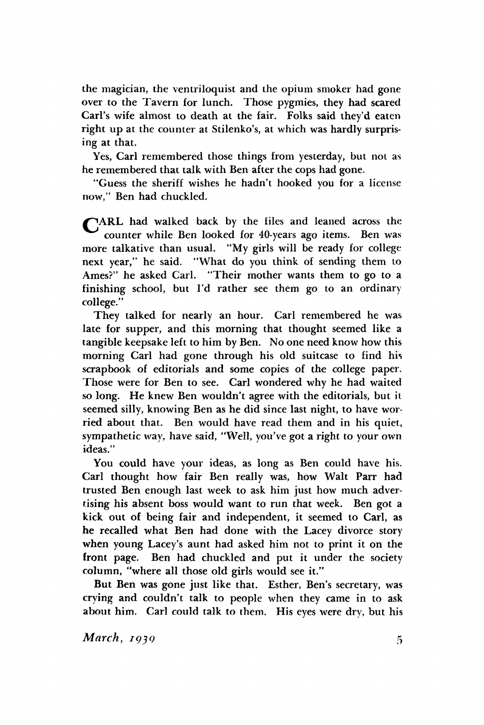the magician, the ventriloquist and the opium smoker had gone over to the Tavern for lunch. Those pygmies, they had scared Carl's wife almost to death at the fair. Folks said they'd eaten right up at the counter at Stilenko's, at which was hardly surprising at that.

Yes, Carl remembered those things from yesterday, but not as he remembered that talk with Ben after the cops had gone.

"Guess the sheriff wishes he hadn't hooked you for a license now," Ben had chuckled.

/^AR L had walked back by the files and leaned across the counter while Ben looked for 40-years ago items. Ben was more talkative than usual. "My girls will be ready for college next year," he said. "What do you think of sending them to Ames?" he asked Carl. "Their mother wants them to go to a finishing school, but I'd rather see them go to an ordinary college."

They talked for nearly an hour. Carl remembered he was late for supper, and this morning that thought seemed like a tangible keepsake left to him by Ben. No one need know how this morning Carl had gone through his old suitcase to find his scrapbook of editorials and some copies of the college paper. Those were for Ben to see. Carl wondered why he had waited so long. He knew Ben wouldn't agree with the editorials, but it seemed silly, knowing Ben as he did since last night, to have worried about that. Ben would have read them and in his quiet, sympathetic way, have said, "Well, you've got a right to your own ideas."

You could have your ideas, as long as Ben could have his. Carl thought how fair Ben really was, how Walt Parr had trusted Ben enough last week to ask him just how much advertising his absent boss would want to run that week. Ben got a kick out of being fair and independent, it seemed to Carl, as he recalled what Ben had done with the Lacey divorce story when young Lacey's aunt had asked him not to print it on the front page. Ben had chuckled and put it under the society column, "where all those old girls would see it."

But Ben was gone just like that. Esther, Ben's secretary, was crying and couldn't talk to people when they came in to ask about him. Carl could talk to them. His eyes were dry, but his

*March, 1939* **5**